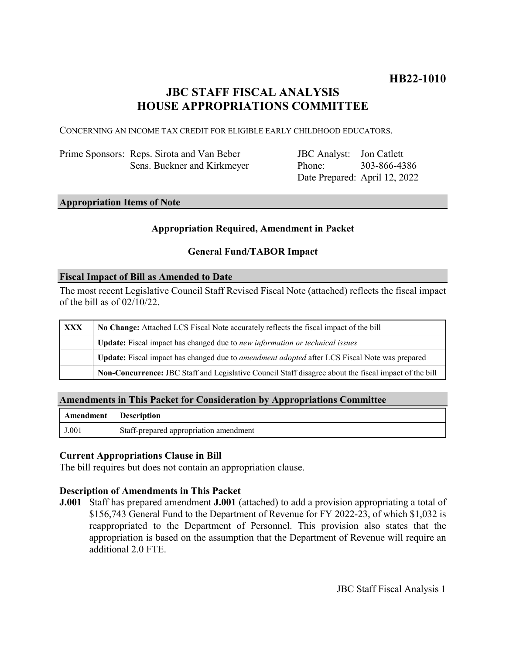# **JBC STAFF FISCAL ANALYSIS HOUSE APPROPRIATIONS COMMITTEE**

CONCERNING AN INCOME TAX CREDIT FOR ELIGIBLE EARLY CHILDHOOD EDUCATORS.

| Prime Sponsors: Reps. Sirota and Van Beber |
|--------------------------------------------|
| Sens. Buckner and Kirkmeyer                |

JBC Analyst: Jon Catlett Phone: Date Prepared: April 12, 2022 303-866-4386

# **Appropriation Items of Note**

# **Appropriation Required, Amendment in Packet**

# **General Fund/TABOR Impact**

#### **Fiscal Impact of Bill as Amended to Date**

The most recent Legislative Council Staff Revised Fiscal Note (attached) reflects the fiscal impact of the bill as of 02/10/22.

| XXX | No Change: Attached LCS Fiscal Note accurately reflects the fiscal impact of the bill                       |  |
|-----|-------------------------------------------------------------------------------------------------------------|--|
|     | <b>Update:</b> Fiscal impact has changed due to new information or technical issues                         |  |
|     | <b>Update:</b> Fiscal impact has changed due to <i>amendment adopted</i> after LCS Fiscal Note was prepared |  |
|     | Non-Concurrence: JBC Staff and Legislative Council Staff disagree about the fiscal impact of the bill       |  |

### **Amendments in This Packet for Consideration by Appropriations Committee**

| <b>Amendment</b> Description |                                        |
|------------------------------|----------------------------------------|
| J.001                        | Staff-prepared appropriation amendment |

#### **Current Appropriations Clause in Bill**

The bill requires but does not contain an appropriation clause.

# **Description of Amendments in This Packet**

**J.001** Staff has prepared amendment **J.001** (attached) to add a provision appropriating a total of \$156,743 General Fund to the Department of Revenue for FY 2022-23, of which \$1,032 is reappropriated to the Department of Personnel. This provision also states that the appropriation is based on the assumption that the Department of Revenue will require an additional 2.0 FTE.